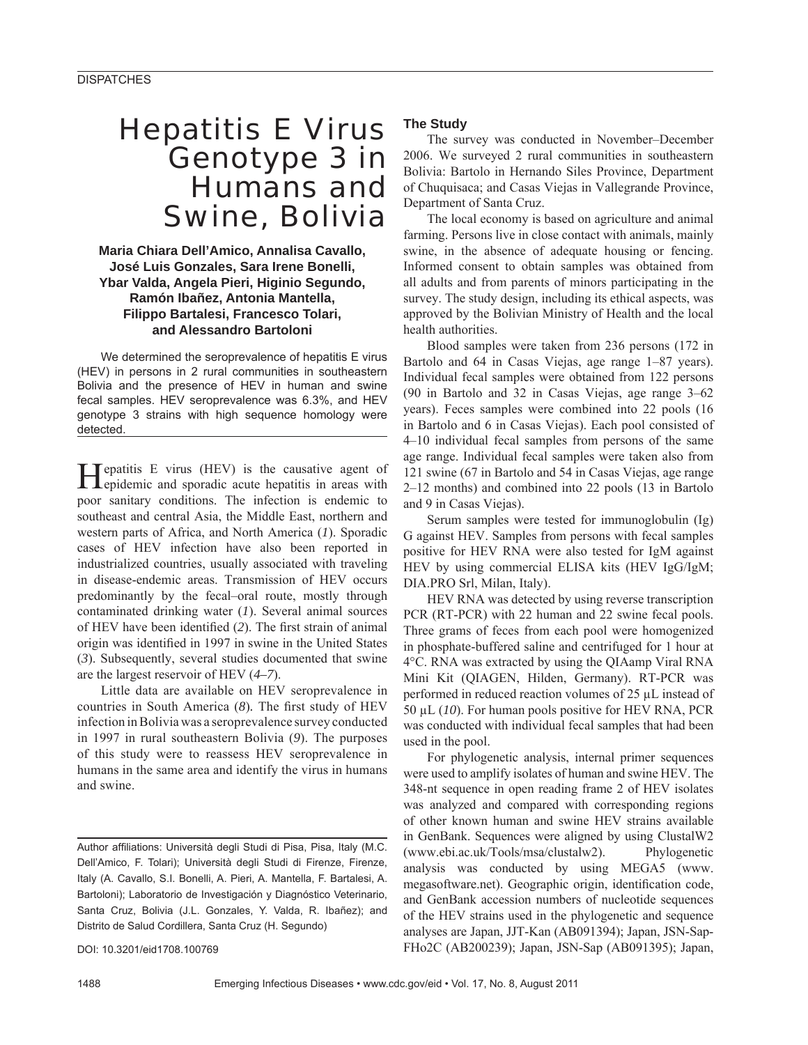## Hepatitis E Virus Genotype 3 in Humans and Swine, Bolivia

**Maria Chiara Dell'Amico, Annalisa Cavallo, José Luis Gonzales, Sara Irene Bonelli, Ybar Valda, Angela Pieri, Higinio Segundo, Ramón Ibañez, Antonia Mantella, Filippo Bartalesi, Francesco Tolari, and Alessandro Bartoloni**

We determined the seroprevalence of hepatitis E virus (HEV) in persons in 2 rural communities in southeastern Bolivia and the presence of HEV in human and swine fecal samples. HEV seroprevalence was 6.3%, and HEV genotype 3 strains with high sequence homology were detected.

Hepatitis E virus (HEV) is the causative agent of epidemic and sporadic acute hepatitis in areas with poor sanitary conditions. The infection is endemic to southeast and central Asia, the Middle East, northern and western parts of Africa, and North America (*1*). Sporadic cases of HEV infection have also been reported in industrialized countries, usually associated with traveling in disease-endemic areas. Transmission of HEV occurs predominantly by the fecal–oral route, mostly through contaminated drinking water (*1*). Several animal sources of HEV have been identified (2). The first strain of animal origin was identified in 1997 in swine in the United States (*3*). Subsequently, several studies documented that swine are the largest reservoir of HEV (*4–7*).

Little data are available on HEV seroprevalence in countries in South America (8). The first study of HEV infection in Bolivia was a seroprevalence survey conducted in 1997 in rural southeastern Bolivia (*9*). The purposes of this study were to reassess HEV seroprevalence in humans in the same area and identify the virus in humans and swine.

DOI: 10.3201/eid1708.100769

### **The Study**

The survey was conducted in November–December 2006. We surveyed 2 rural communities in southeastern Bolivia: Bartolo in Hernando Siles Province, Department of Chuquisaca; and Casas Viejas in Vallegrande Province, Department of Santa Cruz.

The local economy is based on agriculture and animal farming. Persons live in close contact with animals, mainly swine, in the absence of adequate housing or fencing. Informed consent to obtain samples was obtained from all adults and from parents of minors participating in the survey. The study design, including its ethical aspects, was approved by the Bolivian Ministry of Health and the local health authorities.

Blood samples were taken from 236 persons (172 in Bartolo and 64 in Casas Viejas, age range 1–87 years). Individual fecal samples were obtained from 122 persons (90 in Bartolo and 32 in Casas Viejas, age range 3–62 years). Feces samples were combined into 22 pools (16 in Bartolo and 6 in Casas Viejas). Each pool consisted of 4–10 individual fecal samples from persons of the same age range. Individual fecal samples were taken also from 121 swine (67 in Bartolo and 54 in Casas Viejas, age range 2–12 months) and combined into 22 pools (13 in Bartolo and 9 in Casas Viejas).

Serum samples were tested for immunoglobulin (Ig) G against HEV. Samples from persons with fecal samples positive for HEV RNA were also tested for IgM against HEV by using commercial ELISA kits (HEV IgG/IgM; DIA.PRO Srl, Milan, Italy).

HEV RNA was detected by using reverse transcription PCR (RT-PCR) with 22 human and 22 swine fecal pools. Three grams of feces from each pool were homogenized in phosphate-buffered saline and centrifuged for 1 hour at 4°C. RNA was extracted by using the QIAamp Viral RNA Mini Kit (QIAGEN, Hilden, Germany). RT-PCR was performed in reduced reaction volumes of 25 μL instead of 50 μL (*10*). For human pools positive for HEV RNA, PCR was conducted with individual fecal samples that had been used in the pool.

For phylogenetic analysis, internal primer sequences were used to amplify isolates of human and swine HEV. The 348-nt sequence in open reading frame 2 of HEV isolates was analyzed and compared with corresponding regions of other known human and swine HEV strains available in GenBank. Sequences were aligned by using ClustalW2 (www.ebi.ac.uk/Tools/msa/clustalw2). Phylogenetic analysis was conducted by using MEGA5 (www. megasoftware.net). Geographic origin, identification code, and GenBank accession numbers of nucleotide sequences of the HEV strains used in the phylogenetic and sequence analyses are Japan, JJT-Kan (AB091394); Japan, JSN-Sap-FHo2C (AB200239); Japan, JSN-Sap (AB091395); Japan,

Author affiliations: Università degli Studi di Pisa, Pisa, Italy (M.C. Dell'Amico, F. Tolari); Università degli Studi di Firenze, Firenze, Italy (A. Cavallo, S.I. Bonelli, A. Pieri, A. Mantella, F. Bartalesi, A. Bartoloni); Laboratorio de Investigación y Diagnóstico Veterinario, Santa Cruz, Bolivia (J.L. Gonzales, Y. Valda, R. Ibañez); and Distrito de Salud Cordillera, Santa Cruz (H. Segundo)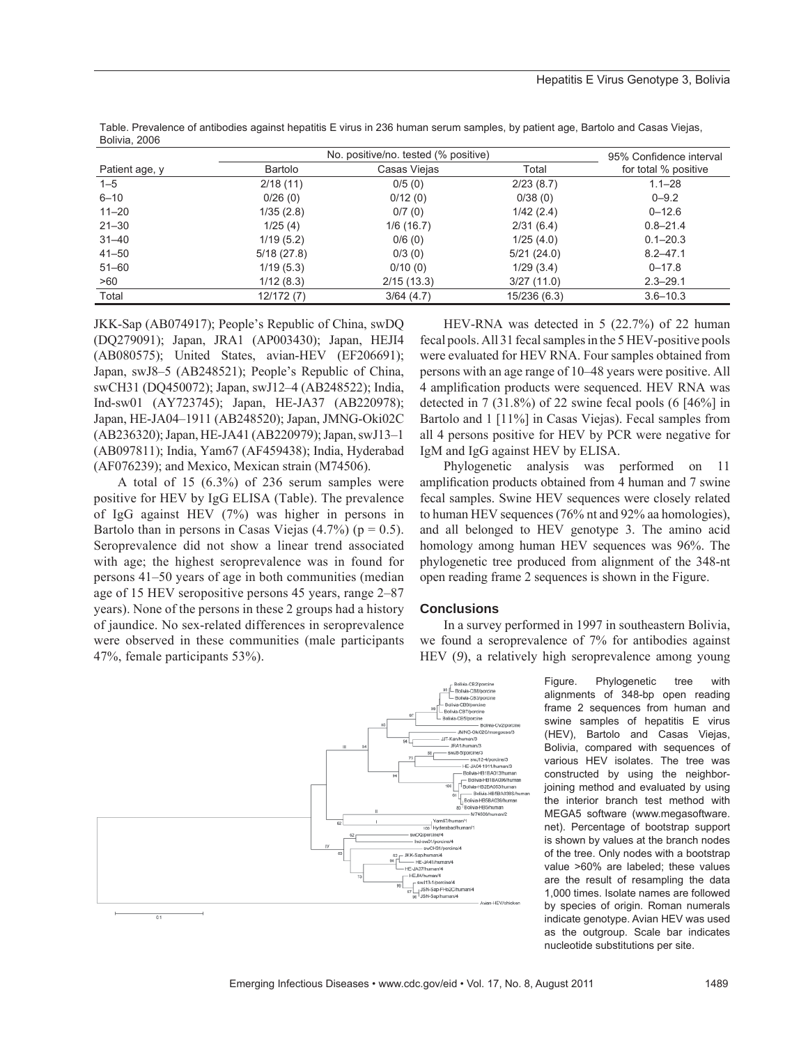|                | No. positive/no. tested (% positive) |              |              | 95% Confidence interval |
|----------------|--------------------------------------|--------------|--------------|-------------------------|
| Patient age, y | Bartolo                              | Casas Viejas | Total        | for total % positive    |
| $1 - 5$        | 2/18(11)                             | 0/5(0)       | 2/23(8.7)    | $1.1 - 28$              |
| $6 - 10$       | 0/26(0)                              | 0/12(0)      | 0/38(0)      | $0 - 9.2$               |
| $11 - 20$      | 1/35(2.8)                            | 0/7(0)       | 1/42(2.4)    | $0 - 12.6$              |
| $21 - 30$      | 1/25(4)                              | 1/6(16.7)    | 2/31(6.4)    | $0.8 - 21.4$            |
| $31 - 40$      | 1/19(5.2)                            | 0/6(0)       | 1/25(4.0)    | $0.1 - 20.3$            |
| $41 - 50$      | 5/18(27.8)                           | 0/3(0)       | 5/21(24.0)   | $8.2 - 47.1$            |
| $51 - 60$      | 1/19(5.3)                            | 0/10(0)      | 1/29(3.4)    | $0 - 17.8$              |
| >60            | 1/12(8.3)                            | 2/15(13.3)   | 3/27(11.0)   | $2.3 - 29.1$            |
| Total          | 12/172 (7)                           | 3/64(4.7)    | 15/236 (6.3) | $3.6 - 10.3$            |

Table. Prevalence of antibodies against hepatitis E virus in 236 human serum samples, by patient age, Bartolo and Casas Viejas, Bolivia, 2006

JKK-Sap (AB074917); People's Republic of China, swDQ (DQ279091); Japan, JRA1 (AP003430); Japan, HEJI4 (AB080575); United States, avian-HEV (EF206691); Japan, swJ8–5 (AB248521); People's Republic of China, swCH31 (DQ450072); Japan, swJ12–4 (AB248522); India, Ind-sw01 (AY723745); Japan, HE-JA37 (AB220978); Japan, HE-JA04–1911 (AB248520); Japan, JMNG-Oki02C (AB236320); Japan, HE-JA41 (AB220979); Japan, swJ13–1 (AB097811); India, Yam67 (AF459438); India, Hyderabad (AF076239); and Mexico, Mexican strain (M74506).

A total of 15 (6.3%) of 236 serum samples were positive for HEV by IgG ELISA (Table). The prevalence of IgG against HEV (7%) was higher in persons in Bartolo than in persons in Casas Viejas  $(4.7\%)$  ( $p = 0.5$ ). Seroprevalence did not show a linear trend associated with age; the highest seroprevalence was in found for persons 41–50 years of age in both communities (median age of 15 HEV seropositive persons 45 years, range 2–87 years). None of the persons in these 2 groups had a history of jaundice. No sex-related differences in seroprevalence were observed in these communities (male participants 47%, female participants 53%).

HEV-RNA was detected in 5 (22.7%) of 22 human fecal pools. All 31 fecal samples in the 5 HEV-positive pools were evaluated for HEV RNA. Four samples obtained from persons with an age range of 10–48 years were positive. All 4 amplification products were sequenced. HEV RNA was detected in 7 (31.8%) of 22 swine fecal pools (6 [46%] in Bartolo and 1 [11%] in Casas Viejas). Fecal samples from all 4 persons positive for HEV by PCR were negative for IgM and IgG against HEV by ELISA.

Phylogenetic analysis was performed on 11 amplification products obtained from 4 human and 7 swine fecal samples. Swine HEV sequences were closely related to human HEV sequences (76% nt and 92% aa homologies), and all belonged to HEV genotype 3. The amino acid homology among human HEV sequences was 96%. The phylogenetic tree produced from alignment of the 348-nt open reading frame 2 sequences is shown in the Figure.

### **Conclusions**

In a survey performed in 1997 in southeastern Bolivia, we found a seroprevalence of 7% for antibodies against HEV (*9*), a relatively high seroprevalence among young



Figure. Phylogenetic tree with alignments of 348-bp open reading frame 2 sequences from human and swine samples of hepatitis E virus (HEV), Bartolo and Casas Viejas, Bolivia, compared with sequences of various HEV isolates. The tree was constructed by using the neighborjoining method and evaluated by using the interior branch test method with MEGA5 software (www.megasoftware. net). Percentage of bootstrap support is shown by values at the branch nodes of the tree. Only nodes with a bootstrap value >60% are labeled; these values are the result of resampling the data 1,000 times. Isolate names are followed by species of origin. Roman numerals indicate genotype. Avian HEV was used as the outgroup. Scale bar indicates nucleotide substitutions per site.